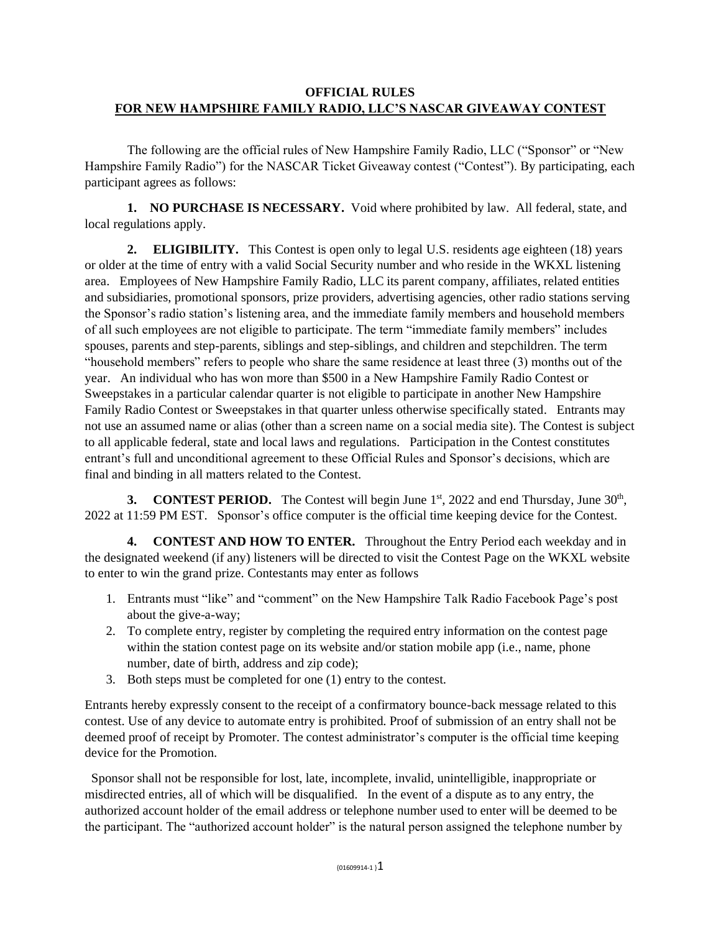## **OFFICIAL RULES FOR NEW HAMPSHIRE FAMILY RADIO, LLC'S NASCAR GIVEAWAY CONTEST**

The following are the official rules of New Hampshire Family Radio, LLC ("Sponsor" or "New Hampshire Family Radio") for the NASCAR Ticket Giveaway contest ("Contest"). By participating, each participant agrees as follows:

**1. NO PURCHASE IS NECESSARY.** Void where prohibited by law. All federal, state, and local regulations apply.

**2. ELIGIBILITY.** This Contest is open only to legal U.S. residents age eighteen (18) years or older at the time of entry with a valid Social Security number and who reside in the WKXL listening area. Employees of New Hampshire Family Radio, LLC its parent company, affiliates, related entities and subsidiaries, promotional sponsors, prize providers, advertising agencies, other radio stations serving the Sponsor's radio station's listening area, and the immediate family members and household members of all such employees are not eligible to participate. The term "immediate family members" includes spouses, parents and step-parents, siblings and step-siblings, and children and stepchildren. The term "household members" refers to people who share the same residence at least three (3) months out of the year. An individual who has won more than \$500 in a New Hampshire Family Radio Contest or Sweepstakes in a particular calendar quarter is not eligible to participate in another New Hampshire Family Radio Contest or Sweepstakes in that quarter unless otherwise specifically stated. Entrants may not use an assumed name or alias (other than a screen name on a social media site). The Contest is subject to all applicable federal, state and local laws and regulations. Participation in the Contest constitutes entrant's full and unconditional agreement to these Official Rules and Sponsor's decisions, which are final and binding in all matters related to the Contest.

**3. CONTEST PERIOD.** The Contest will begin June 1<sup>st</sup>, 2022 and end Thursday, June 30<sup>th</sup>, 2022 at 11:59 PM EST. Sponsor's office computer is the official time keeping device for the Contest.

**4. CONTEST AND HOW TO ENTER.** Throughout the Entry Period each weekday and in the designated weekend (if any) listeners will be directed to visit the Contest Page on the WKXL website to enter to win the grand prize. Contestants may enter as follows

- 1. Entrants must "like" and "comment" on the New Hampshire Talk Radio Facebook Page's post about the give-a-way;
- 2. To complete entry, register by completing the required entry information on the contest page within the station contest page on its website and/or station mobile app (i.e., name, phone number, date of birth, address and zip code);
- 3. Both steps must be completed for one (1) entry to the contest.

Entrants hereby expressly consent to the receipt of a confirmatory bounce-back message related to this contest. Use of any device to automate entry is prohibited. Proof of submission of an entry shall not be deemed proof of receipt by Promoter. The contest administrator's computer is the official time keeping device for the Promotion.

Sponsor shall not be responsible for lost, late, incomplete, invalid, unintelligible, inappropriate or misdirected entries, all of which will be disqualified. In the event of a dispute as to any entry, the authorized account holder of the email address or telephone number used to enter will be deemed to be the participant. The "authorized account holder" is the natural person assigned the telephone number by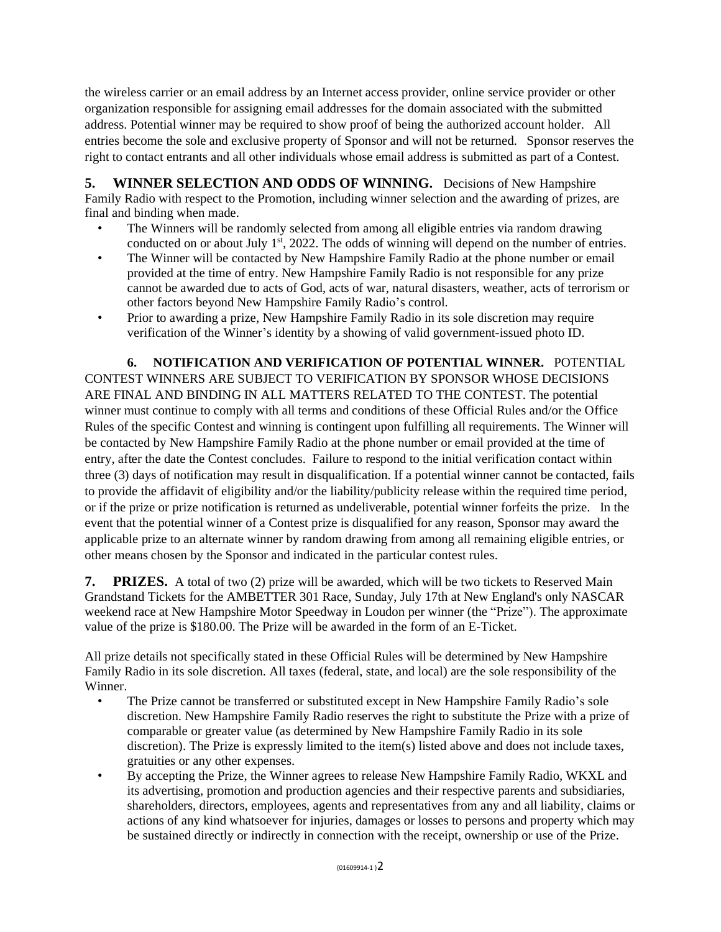the wireless carrier or an email address by an Internet access provider, online service provider or other organization responsible for assigning email addresses for the domain associated with the submitted address. Potential winner may be required to show proof of being the authorized account holder. All entries become the sole and exclusive property of Sponsor and will not be returned. Sponsor reserves the right to contact entrants and all other individuals whose email address is submitted as part of a Contest.

**5. WINNER SELECTION AND ODDS OF WINNING.** Decisions of New Hampshire Family Radio with respect to the Promotion, including winner selection and the awarding of prizes, are final and binding when made.

- The Winners will be randomly selected from among all eligible entries via random drawing conducted on or about July 1<sup>st</sup>, 2022. The odds of winning will depend on the number of entries.
- The Winner will be contacted by New Hampshire Family Radio at the phone number or email provided at the time of entry. New Hampshire Family Radio is not responsible for any prize cannot be awarded due to acts of God, acts of war, natural disasters, weather, acts of terrorism or other factors beyond New Hampshire Family Radio's control.
- Prior to awarding a prize, New Hampshire Family Radio in its sole discretion may require verification of the Winner's identity by a showing of valid government-issued photo ID.

**6. NOTIFICATION AND VERIFICATION OF POTENTIAL WINNER.** POTENTIAL CONTEST WINNERS ARE SUBJECT TO VERIFICATION BY SPONSOR WHOSE DECISIONS ARE FINAL AND BINDING IN ALL MATTERS RELATED TO THE CONTEST. The potential winner must continue to comply with all terms and conditions of these Official Rules and/or the Office Rules of the specific Contest and winning is contingent upon fulfilling all requirements. The Winner will be contacted by New Hampshire Family Radio at the phone number or email provided at the time of entry, after the date the Contest concludes. Failure to respond to the initial verification contact within three (3) days of notification may result in disqualification. If a potential winner cannot be contacted, fails to provide the affidavit of eligibility and/or the liability/publicity release within the required time period, or if the prize or prize notification is returned as undeliverable, potential winner forfeits the prize. In the event that the potential winner of a Contest prize is disqualified for any reason, Sponsor may award the applicable prize to an alternate winner by random drawing from among all remaining eligible entries, or other means chosen by the Sponsor and indicated in the particular contest rules.

**7. PRIZES.** A total of two (2) prize will be awarded, which will be two tickets to Reserved Main Grandstand Tickets for the AMBETTER 301 Race, Sunday, July 17th at New England's only NASCAR weekend race at New Hampshire Motor Speedway in Loudon per winner (the "Prize"). The approximate value of the prize is \$180.00. The Prize will be awarded in the form of an E-Ticket.

All prize details not specifically stated in these Official Rules will be determined by New Hampshire Family Radio in its sole discretion. All taxes (federal, state, and local) are the sole responsibility of the Winner.

- The Prize cannot be transferred or substituted except in New Hampshire Family Radio's sole discretion. New Hampshire Family Radio reserves the right to substitute the Prize with a prize of comparable or greater value (as determined by New Hampshire Family Radio in its sole discretion). The Prize is expressly limited to the item(s) listed above and does not include taxes, gratuities or any other expenses.
- By accepting the Prize, the Winner agrees to release New Hampshire Family Radio, WKXL and its advertising, promotion and production agencies and their respective parents and subsidiaries, shareholders, directors, employees, agents and representatives from any and all liability, claims or actions of any kind whatsoever for injuries, damages or losses to persons and property which may be sustained directly or indirectly in connection with the receipt, ownership or use of the Prize.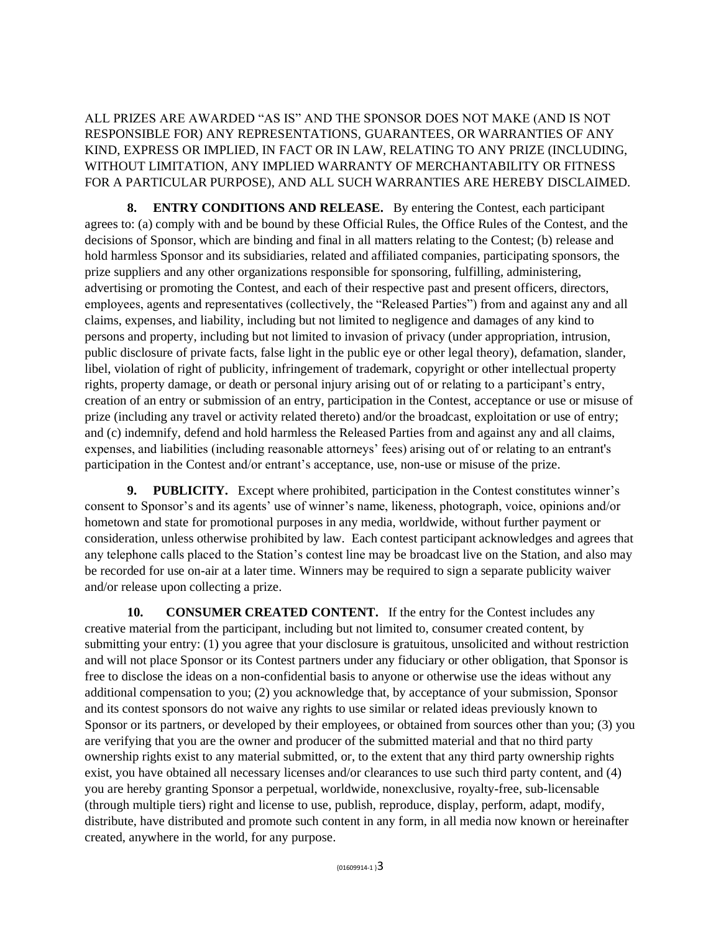ALL PRIZES ARE AWARDED "AS IS" AND THE SPONSOR DOES NOT MAKE (AND IS NOT RESPONSIBLE FOR) ANY REPRESENTATIONS, GUARANTEES, OR WARRANTIES OF ANY KIND, EXPRESS OR IMPLIED, IN FACT OR IN LAW, RELATING TO ANY PRIZE (INCLUDING, WITHOUT LIMITATION, ANY IMPLIED WARRANTY OF MERCHANTABILITY OR FITNESS FOR A PARTICULAR PURPOSE), AND ALL SUCH WARRANTIES ARE HEREBY DISCLAIMED.

**8. ENTRY CONDITIONS AND RELEASE.** By entering the Contest, each participant agrees to: (a) comply with and be bound by these Official Rules, the Office Rules of the Contest, and the decisions of Sponsor, which are binding and final in all matters relating to the Contest; (b) release and hold harmless Sponsor and its subsidiaries, related and affiliated companies, participating sponsors, the prize suppliers and any other organizations responsible for sponsoring, fulfilling, administering, advertising or promoting the Contest, and each of their respective past and present officers, directors, employees, agents and representatives (collectively, the "Released Parties") from and against any and all claims, expenses, and liability, including but not limited to negligence and damages of any kind to persons and property, including but not limited to invasion of privacy (under appropriation, intrusion, public disclosure of private facts, false light in the public eye or other legal theory), defamation, slander, libel, violation of right of publicity, infringement of trademark, copyright or other intellectual property rights, property damage, or death or personal injury arising out of or relating to a participant's entry, creation of an entry or submission of an entry, participation in the Contest, acceptance or use or misuse of prize (including any travel or activity related thereto) and/or the broadcast, exploitation or use of entry; and (c) indemnify, defend and hold harmless the Released Parties from and against any and all claims, expenses, and liabilities (including reasonable attorneys' fees) arising out of or relating to an entrant's participation in the Contest and/or entrant's acceptance, use, non-use or misuse of the prize.

**9. PUBLICITY.** Except where prohibited, participation in the Contest constitutes winner's consent to Sponsor's and its agents' use of winner's name, likeness, photograph, voice, opinions and/or hometown and state for promotional purposes in any media, worldwide, without further payment or consideration, unless otherwise prohibited by law. Each contest participant acknowledges and agrees that any telephone calls placed to the Station's contest line may be broadcast live on the Station, and also may be recorded for use on-air at a later time. Winners may be required to sign a separate publicity waiver and/or release upon collecting a prize.

**10. CONSUMER CREATED CONTENT.** If the entry for the Contest includes any creative material from the participant, including but not limited to, consumer created content, by submitting your entry: (1) you agree that your disclosure is gratuitous, unsolicited and without restriction and will not place Sponsor or its Contest partners under any fiduciary or other obligation, that Sponsor is free to disclose the ideas on a non-confidential basis to anyone or otherwise use the ideas without any additional compensation to you; (2) you acknowledge that, by acceptance of your submission, Sponsor and its contest sponsors do not waive any rights to use similar or related ideas previously known to Sponsor or its partners, or developed by their employees, or obtained from sources other than you; (3) you are verifying that you are the owner and producer of the submitted material and that no third party ownership rights exist to any material submitted, or, to the extent that any third party ownership rights exist, you have obtained all necessary licenses and/or clearances to use such third party content, and (4) you are hereby granting Sponsor a perpetual, worldwide, nonexclusive, royalty-free, sub-licensable (through multiple tiers) right and license to use, publish, reproduce, display, perform, adapt, modify, distribute, have distributed and promote such content in any form, in all media now known or hereinafter created, anywhere in the world, for any purpose.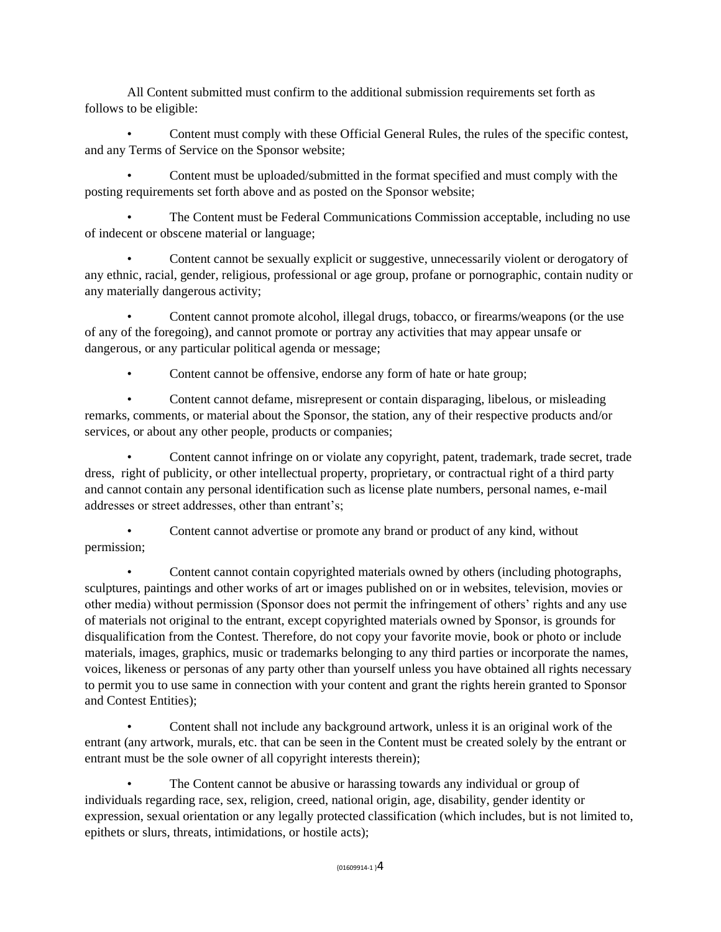All Content submitted must confirm to the additional submission requirements set forth as follows to be eligible:

• Content must comply with these Official General Rules, the rules of the specific contest, and any Terms of Service on the Sponsor website;

• Content must be uploaded/submitted in the format specified and must comply with the posting requirements set forth above and as posted on the Sponsor website;

• The Content must be Federal Communications Commission acceptable, including no use of indecent or obscene material or language;

• Content cannot be sexually explicit or suggestive, unnecessarily violent or derogatory of any ethnic, racial, gender, religious, professional or age group, profane or pornographic, contain nudity or any materially dangerous activity;

• Content cannot promote alcohol, illegal drugs, tobacco, or firearms/weapons (or the use of any of the foregoing), and cannot promote or portray any activities that may appear unsafe or dangerous, or any particular political agenda or message;

• Content cannot be offensive, endorse any form of hate or hate group;

• Content cannot defame, misrepresent or contain disparaging, libelous, or misleading remarks, comments, or material about the Sponsor, the station, any of their respective products and/or services, or about any other people, products or companies;

• Content cannot infringe on or violate any copyright, patent, trademark, trade secret, trade dress, right of publicity, or other intellectual property, proprietary, or contractual right of a third party and cannot contain any personal identification such as license plate numbers, personal names, e-mail addresses or street addresses, other than entrant's;

• Content cannot advertise or promote any brand or product of any kind, without permission;

• Content cannot contain copyrighted materials owned by others (including photographs, sculptures, paintings and other works of art or images published on or in websites, television, movies or other media) without permission (Sponsor does not permit the infringement of others' rights and any use of materials not original to the entrant, except copyrighted materials owned by Sponsor, is grounds for disqualification from the Contest. Therefore, do not copy your favorite movie, book or photo or include materials, images, graphics, music or trademarks belonging to any third parties or incorporate the names, voices, likeness or personas of any party other than yourself unless you have obtained all rights necessary to permit you to use same in connection with your content and grant the rights herein granted to Sponsor and Contest Entities);

• Content shall not include any background artwork, unless it is an original work of the entrant (any artwork, murals, etc. that can be seen in the Content must be created solely by the entrant or entrant must be the sole owner of all copyright interests therein);

The Content cannot be abusive or harassing towards any individual or group of individuals regarding race, sex, religion, creed, national origin, age, disability, gender identity or expression, sexual orientation or any legally protected classification (which includes, but is not limited to, epithets or slurs, threats, intimidations, or hostile acts);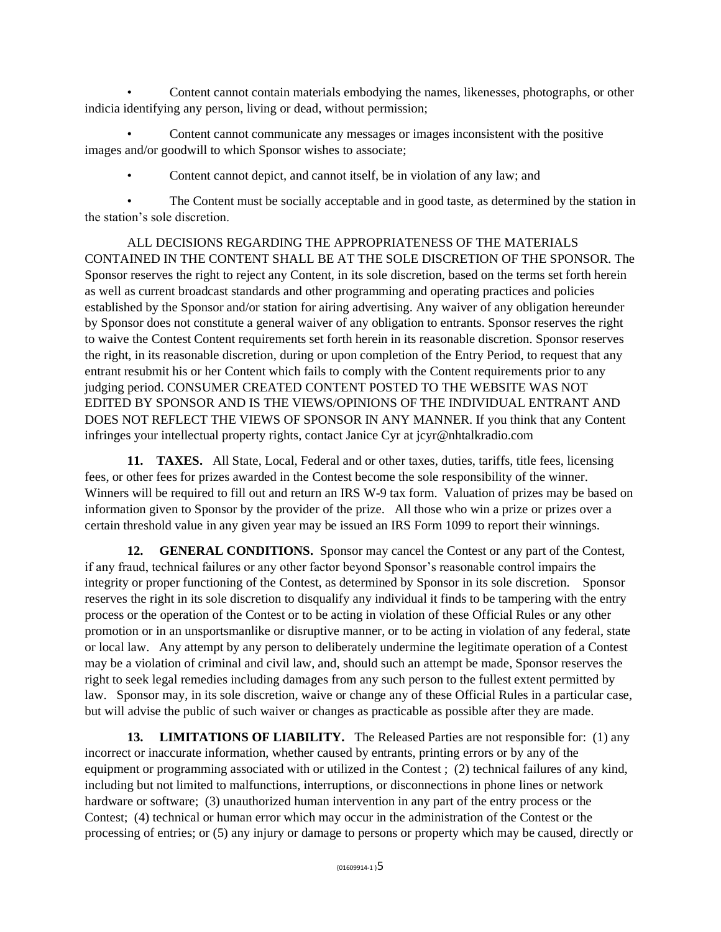• Content cannot contain materials embodying the names, likenesses, photographs, or other indicia identifying any person, living or dead, without permission;

• Content cannot communicate any messages or images inconsistent with the positive images and/or goodwill to which Sponsor wishes to associate;

• Content cannot depict, and cannot itself, be in violation of any law; and

• The Content must be socially acceptable and in good taste, as determined by the station in the station's sole discretion.

ALL DECISIONS REGARDING THE APPROPRIATENESS OF THE MATERIALS CONTAINED IN THE CONTENT SHALL BE AT THE SOLE DISCRETION OF THE SPONSOR. The Sponsor reserves the right to reject any Content, in its sole discretion, based on the terms set forth herein as well as current broadcast standards and other programming and operating practices and policies established by the Sponsor and/or station for airing advertising. Any waiver of any obligation hereunder by Sponsor does not constitute a general waiver of any obligation to entrants. Sponsor reserves the right to waive the Contest Content requirements set forth herein in its reasonable discretion. Sponsor reserves the right, in its reasonable discretion, during or upon completion of the Entry Period, to request that any entrant resubmit his or her Content which fails to comply with the Content requirements prior to any judging period. CONSUMER CREATED CONTENT POSTED TO THE WEBSITE WAS NOT EDITED BY SPONSOR AND IS THE VIEWS/OPINIONS OF THE INDIVIDUAL ENTRANT AND DOES NOT REFLECT THE VIEWS OF SPONSOR IN ANY MANNER. If you think that any Content infringes your intellectual property rights, contact Janice Cyr at jcyr@nhtalkradio.com

**11. TAXES.** All State, Local, Federal and or other taxes, duties, tariffs, title fees, licensing fees, or other fees for prizes awarded in the Contest become the sole responsibility of the winner. Winners will be required to fill out and return an IRS W-9 tax form. Valuation of prizes may be based on information given to Sponsor by the provider of the prize. All those who win a prize or prizes over a certain threshold value in any given year may be issued an IRS Form 1099 to report their winnings.

**12. GENERAL CONDITIONS.** Sponsor may cancel the Contest or any part of the Contest, if any fraud, technical failures or any other factor beyond Sponsor's reasonable control impairs the integrity or proper functioning of the Contest, as determined by Sponsor in its sole discretion. Sponsor reserves the right in its sole discretion to disqualify any individual it finds to be tampering with the entry process or the operation of the Contest or to be acting in violation of these Official Rules or any other promotion or in an unsportsmanlike or disruptive manner, or to be acting in violation of any federal, state or local law. Any attempt by any person to deliberately undermine the legitimate operation of a Contest may be a violation of criminal and civil law, and, should such an attempt be made, Sponsor reserves the right to seek legal remedies including damages from any such person to the fullest extent permitted by law. Sponsor may, in its sole discretion, waive or change any of these Official Rules in a particular case, but will advise the public of such waiver or changes as practicable as possible after they are made.

**13. LIMITATIONS OF LIABILITY.** The Released Parties are not responsible for: (1) any incorrect or inaccurate information, whether caused by entrants, printing errors or by any of the equipment or programming associated with or utilized in the Contest ; (2) technical failures of any kind, including but not limited to malfunctions, interruptions, or disconnections in phone lines or network hardware or software; (3) unauthorized human intervention in any part of the entry process or the Contest; (4) technical or human error which may occur in the administration of the Contest or the processing of entries; or (5) any injury or damage to persons or property which may be caused, directly or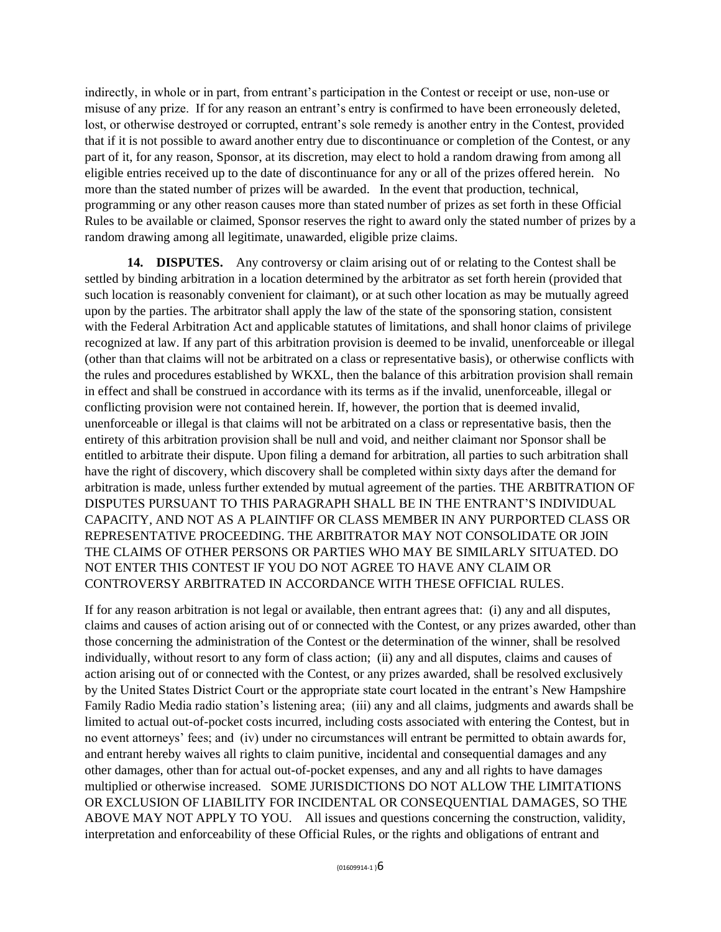indirectly, in whole or in part, from entrant's participation in the Contest or receipt or use, non-use or misuse of any prize. If for any reason an entrant's entry is confirmed to have been erroneously deleted, lost, or otherwise destroyed or corrupted, entrant's sole remedy is another entry in the Contest, provided that if it is not possible to award another entry due to discontinuance or completion of the Contest, or any part of it, for any reason, Sponsor, at its discretion, may elect to hold a random drawing from among all eligible entries received up to the date of discontinuance for any or all of the prizes offered herein. No more than the stated number of prizes will be awarded. In the event that production, technical, programming or any other reason causes more than stated number of prizes as set forth in these Official Rules to be available or claimed, Sponsor reserves the right to award only the stated number of prizes by a random drawing among all legitimate, unawarded, eligible prize claims.

**14. DISPUTES.** Any controversy or claim arising out of or relating to the Contest shall be settled by binding arbitration in a location determined by the arbitrator as set forth herein (provided that such location is reasonably convenient for claimant), or at such other location as may be mutually agreed upon by the parties. The arbitrator shall apply the law of the state of the sponsoring station, consistent with the Federal Arbitration Act and applicable statutes of limitations, and shall honor claims of privilege recognized at law. If any part of this arbitration provision is deemed to be invalid, unenforceable or illegal (other than that claims will not be arbitrated on a class or representative basis), or otherwise conflicts with the rules and procedures established by WKXL, then the balance of this arbitration provision shall remain in effect and shall be construed in accordance with its terms as if the invalid, unenforceable, illegal or conflicting provision were not contained herein. If, however, the portion that is deemed invalid, unenforceable or illegal is that claims will not be arbitrated on a class or representative basis, then the entirety of this arbitration provision shall be null and void, and neither claimant nor Sponsor shall be entitled to arbitrate their dispute. Upon filing a demand for arbitration, all parties to such arbitration shall have the right of discovery, which discovery shall be completed within sixty days after the demand for arbitration is made, unless further extended by mutual agreement of the parties. THE ARBITRATION OF DISPUTES PURSUANT TO THIS PARAGRAPH SHALL BE IN THE ENTRANT'S INDIVIDUAL CAPACITY, AND NOT AS A PLAINTIFF OR CLASS MEMBER IN ANY PURPORTED CLASS OR REPRESENTATIVE PROCEEDING. THE ARBITRATOR MAY NOT CONSOLIDATE OR JOIN THE CLAIMS OF OTHER PERSONS OR PARTIES WHO MAY BE SIMILARLY SITUATED. DO NOT ENTER THIS CONTEST IF YOU DO NOT AGREE TO HAVE ANY CLAIM OR CONTROVERSY ARBITRATED IN ACCORDANCE WITH THESE OFFICIAL RULES.

If for any reason arbitration is not legal or available, then entrant agrees that: (i) any and all disputes, claims and causes of action arising out of or connected with the Contest, or any prizes awarded, other than those concerning the administration of the Contest or the determination of the winner, shall be resolved individually, without resort to any form of class action; (ii) any and all disputes, claims and causes of action arising out of or connected with the Contest, or any prizes awarded, shall be resolved exclusively by the United States District Court or the appropriate state court located in the entrant's New Hampshire Family Radio Media radio station's listening area; (iii) any and all claims, judgments and awards shall be limited to actual out-of-pocket costs incurred, including costs associated with entering the Contest, but in no event attorneys' fees; and (iv) under no circumstances will entrant be permitted to obtain awards for, and entrant hereby waives all rights to claim punitive, incidental and consequential damages and any other damages, other than for actual out-of-pocket expenses, and any and all rights to have damages multiplied or otherwise increased. SOME JURISDICTIONS DO NOT ALLOW THE LIMITATIONS OR EXCLUSION OF LIABILITY FOR INCIDENTAL OR CONSEQUENTIAL DAMAGES, SO THE ABOVE MAY NOT APPLY TO YOU. All issues and questions concerning the construction, validity, interpretation and enforceability of these Official Rules, or the rights and obligations of entrant and